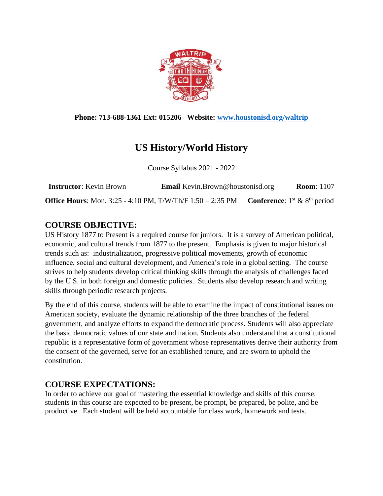

#### **Phone: 713-688-1361 Ext: 015206 Website: [www.houstonisd.org/waltrip](http://www.houstonisd.org/waltrip)**

# **US History/World History**

Course Syllabus 2021 - 2022

| <b>Instructor:</b> Kevin Brown                                    | <b>Email</b> Kevin.Brown@houstonisd.org | <b>Room: 1107</b>                       |
|-------------------------------------------------------------------|-----------------------------------------|-----------------------------------------|
| <b>Office Hours:</b> Mon. 3:25 - 4:10 PM, T/W/Th/F 1:50 – 2:35 PM |                                         | <b>Conference:</b> $1st$ & $8th$ period |

# **COURSE OBJECTIVE:**

US History 1877 to Present is a required course for juniors. It is a survey of American political, economic, and cultural trends from 1877 to the present. Emphasis is given to major historical trends such as: industrialization, progressive political movements, growth of economic influence, social and cultural development, and America's role in a global setting. The course strives to help students develop critical thinking skills through the analysis of challenges faced by the U.S. in both foreign and domestic policies. Students also develop research and writing skills through periodic research projects.

By the end of this course, students will be able to examine the impact of constitutional issues on American society, evaluate the dynamic relationship of the three branches of the federal government, and analyze efforts to expand the democratic process. Students will also appreciate the basic democratic values of our state and nation. Students also understand that a constitutional republic is a representative form of government whose representatives derive their authority from the consent of the governed, serve for an established tenure, and are sworn to uphold the constitution.

### **COURSE EXPECTATIONS:**

In order to achieve our goal of mastering the essential knowledge and skills of this course, students in this course are expected to be present, be prompt, be prepared, be polite, and be productive. Each student will be held accountable for class work, homework and tests.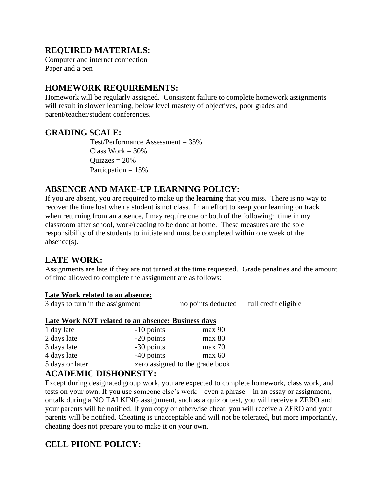## **REQUIRED MATERIALS:**

Computer and internet connection Paper and a pen

# **HOMEWORK REQUIREMENTS:**

Homework will be regularly assigned. Consistent failure to complete homework assignments will result in slower learning, below level mastery of objectives, poor grades and parent/teacher/student conferences.

### **GRADING SCALE:**

Test/Performance Assessment = 35% Class Work  $= 30\%$  $Quizzes = 20%$ Particpation  $= 15\%$ 

# **ABSENCE AND MAKE-UP LEARNING POLICY:**

If you are absent, you are required to make up the **learning** that you miss. There is no way to recover the time lost when a student is not class. In an effort to keep your learning on track when returning from an absence, I may require one or both of the following: time in my classroom after school, work/reading to be done at home. These measures are the sole responsibility of the students to initiate and must be completed within one week of the absence(s).

### **LATE WORK:**

Assignments are late if they are not turned at the time requested. Grade penalties and the amount of time allowed to complete the assignment are as follows:

#### **Late Work related to an absence:**

3 days to turn in the assignment no points deducted full credit eligible

#### **Late Work NOT related to an absence: Business days**

| 1 day late      | $-10$ points                    | max 90 |
|-----------------|---------------------------------|--------|
| 2 days late     | -20 points                      | max 80 |
| 3 days late     | -30 points                      | max 70 |
| 4 days late     | $-40$ points                    | max 60 |
| 5 days or later | zero assigned to the grade book |        |

### **ACADEMIC DISHONESTY:**

Except during designated group work, you are expected to complete homework, class work, and tests on your own. If you use someone else's work—even a phrase—in an essay or assignment, or talk during a NO TALKING assignment, such as a quiz or test, you will receive a ZERO and your parents will be notified. If you copy or otherwise cheat, you will receive a ZERO and your parents will be notified. Cheating is unacceptable and will not be tolerated, but more importantly, cheating does not prepare you to make it on your own.

# **CELL PHONE POLICY:**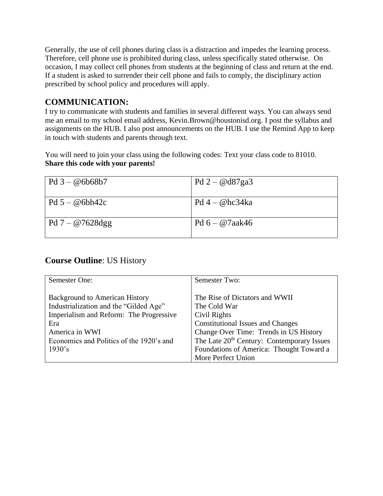Generally, the use of cell phones during class is a distraction and impedes the learning process. Therefore, cell phone use is prohibited during class, unless specifically stated otherwise. On occasion, I may collect cell phones from students at the beginning of class and return at the end. If a student is asked to surrender their cell phone and fails to comply, the disciplinary action prescribed by school policy and procedures will apply.

# **COMMUNICATION:**

I try to communicate with students and families in several different ways. You can always send me an email to my school email address, Kevin.Brown@houstonisd.org. I post the syllabus and assignments on the HUB. I also post announcements on the HUB. I use the Remind App to keep in touch with students and parents through text.

You will need to join your class using the following codes: Text your class code to 81010. **Share this code with your parents!**

| $Pd3 - @6b68b7$    | Pd $2 - \omega d87$ ga3 |
|--------------------|-------------------------|
| $Pd 5 - @6bh42c$   | $Pd4 - @hc34ka$         |
| Pd $7 - @7628$ dgg | Pd $6 - @7aak46$        |

### **Course Outline**: US History

| Semester One:                            | Semester Two:                                          |
|------------------------------------------|--------------------------------------------------------|
|                                          |                                                        |
| <b>Background to American History</b>    | The Rise of Dictators and WWII                         |
| Industrialization and the "Gilded Age"   | The Cold War                                           |
| Imperialism and Reform: The Progressive  | Civil Rights                                           |
| Era                                      | <b>Constitutional Issues and Changes</b>               |
| America in WWI                           | Change Over Time: Trends in US History                 |
| Economics and Politics of the 1920's and | The Late 20 <sup>th</sup> Century: Contemporary Issues |
| 1930's                                   | Foundations of America: Thought Toward a               |
|                                          | More Perfect Union                                     |